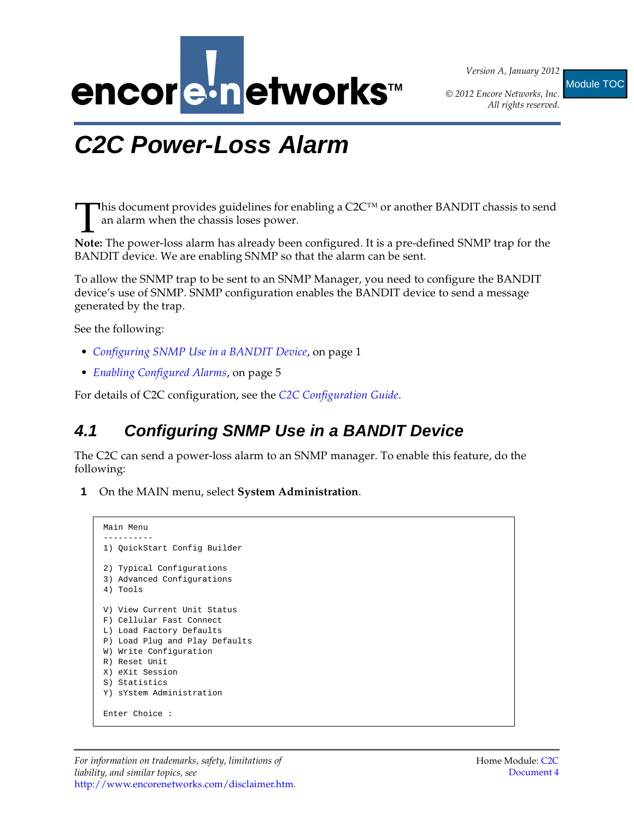

*Version A, January 2012*

*All rights reserved.* Module TOC

## <span id="page-0-2"></span><span id="page-0-1"></span>**C2C Power-Loss Alarm**

This document provides guidelines for enabling a  $C2C^{TM}$  or another BANDIT chassis to send an alarm when the chassis loses power. This document provides guidelines for enabling a C2C<sup>TM</sup> or another BANDIT chassis to send an alarm when the chassis loses power.<br>**Note:** The power-loss alarm has already been configured. It is a pre-defined SNMP trap for

BANDIT device. We are enabling SNMP so that the alarm can be sent.

To allow the SNMP trap to be sent to an SNMP Manager, you need to configure the BANDIT device's use of SNMP. SNMP configuration enables the BANDIT device to send a message generated by the trap.

See the following:

- *[Configuring SNMP Use in a BANDIT Device](#page-0-0)*, on [page 1](#page-0-0)
- *[Enabling Configured Alarms](#page-4-0)*, on [page 5](#page-4-0)

For details of C2C configuration, see the *[C2C Configuration Guide](#page-0-1)*.

## <span id="page-0-0"></span>**4.1 Configuring SNMP Use in a BANDIT Device**

The C2C can send a power-loss alarm to an SNMP manager. To enable this feature, do the following:

**1** On the MAIN menu, select **System Administration**.

```
Main Menu
----------
1) QuickStart Config Builder
2) Typical Configurations
3) Advanced Configurations
4) Tools
V) View Current Unit Status
F) Cellular Fast Connect
L) Load Factory Defaults
P) Load Plug and Play Defaults
W) Write Configuration
R) Reset Unit
X) eXit Session
S) Statistics
Y) sYstem Administration
Enter Choice :
```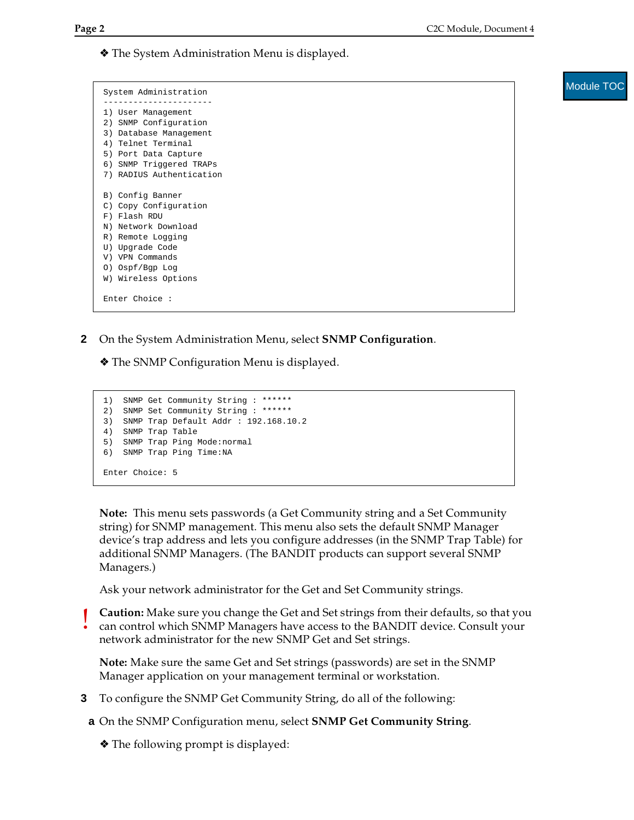❖ The System Administration Menu is displayed.

| System Administration    |
|--------------------------|
|                          |
| 1) User Management       |
| 2) SNMP Configuration    |
| 3) Database Management   |
| 4) Telnet Terminal       |
| 5) Port Data Capture     |
| 6) SNMP Triggered TRAPs  |
| 7) RADIUS Authentication |
|                          |
| B) Config Banner         |
| C) Copy Configuration    |
| F) Flash RDU             |
| N) Network Download      |
| R) Remote Logging        |
| U) Upgrade Code          |
| V) VPN Commands          |
| 0) Ospf/Bgp Log          |
| W) Wireless Options      |
|                          |
| Enter Choice:            |

**2** On the System Administration Menu, select **SNMP Configuration**.

❖ The SNMP Configuration Menu is displayed.

```
1) SNMP Get Community String : ******
2) SNMP Set Community String : ******
3) SNMP Trap Default Addr : 192.168.10.2
4) SNMP Trap Table
5) SNMP Trap Ping Mode:normal
6) SNMP Trap Ping Time:NA
Enter Choice: 5
```
**Note:** This menu sets passwords (a Get Community string and a Set Community string) for SNMP management. This menu also sets the default SNMP Manager device's trap address and lets you configure addresses (in the SNMP Trap Table) for additional SNMP Managers. (The BANDIT products can support several SNMP Managers.)

Ask your network administrator for the Get and Set Community strings.

**Caution:** Make sure you change the Get and Set strings from their defaults, so that you can control which SNMP Managers have access to the BANDIT device. Consult your network administrator for the new SNMP Get and Set strings.

**Note:** Make sure the same Get and Set strings (passwords) are set in the SNMP Manager application on your management terminal or workstation.

**3** To configure the SNMP Get Community String, do all of the following:

**a** On the SNMP Configuration menu, select **SNMP Get Community String**.

❖ The following prompt is displayed:

!<br>!

Module TOC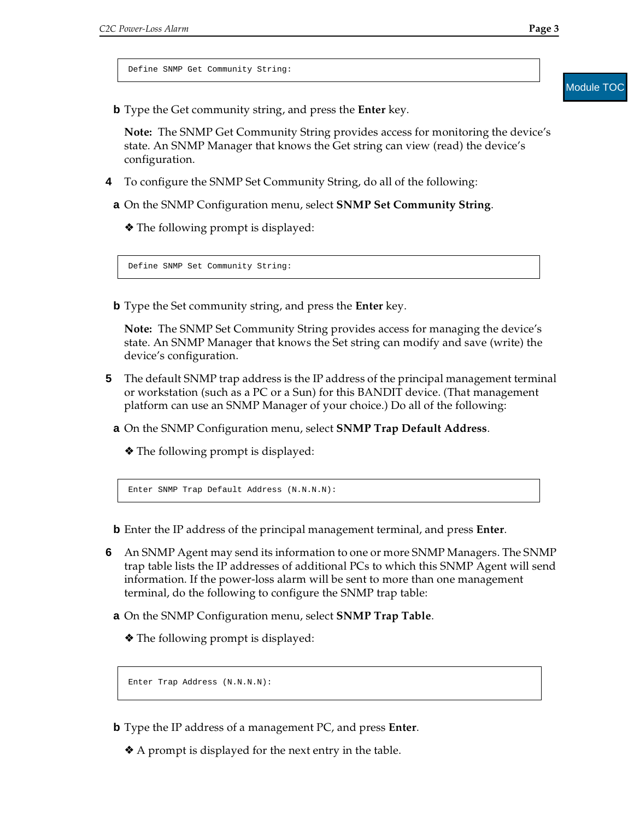Define SNMP Get Community String:

**b** Type the Get community string, and press the **Enter** key.

**Note:** The SNMP Get Community String provides access for monitoring the device's state. An SNMP Manager that knows the Get string can view (read) the device's configuration.

- **4** To configure the SNMP Set Community String, do all of the following:
- **a** On the SNMP Configuration menu, select **SNMP Set Community String**.
	- ❖ The following prompt is displayed:

Define SNMP Set Community String:

**b** Type the Set community string, and press the **Enter** key.

**Note:** The SNMP Set Community String provides access for managing the device's state. An SNMP Manager that knows the Set string can modify and save (write) the device's configuration.

- **5** The default SNMP trap address is the IP address of the principal management terminal or workstation (such as a PC or a Sun) for this BANDIT device. (That management platform can use an SNMP Manager of your choice.) Do all of the following:
	- **a** On the SNMP Configuration menu, select **SNMP Trap Default Address**.

❖ The following prompt is displayed:

Enter SNMP Trap Default Address (N.N.N.N):

- **b** Enter the IP address of the principal management terminal, and press **Enter**.
- <span id="page-2-0"></span>**6** An SNMP Agent may send its information to one or more SNMP Managers. The SNMP trap table lists the IP addresses of additional PCs to which this SNMP Agent will send information. If the power-loss alarm will be sent to more than one management terminal, do the following to configure the SNMP trap table:
	- **a** On the SNMP Configuration menu, select **SNMP Trap Table**.
		- ❖ The following prompt is displayed:

Enter Trap Address (N.N.N.N):

- <span id="page-2-1"></span>**b** Type the IP address of a management PC, and press **Enter**.
	- ❖ A prompt is displayed for the next entry in the table.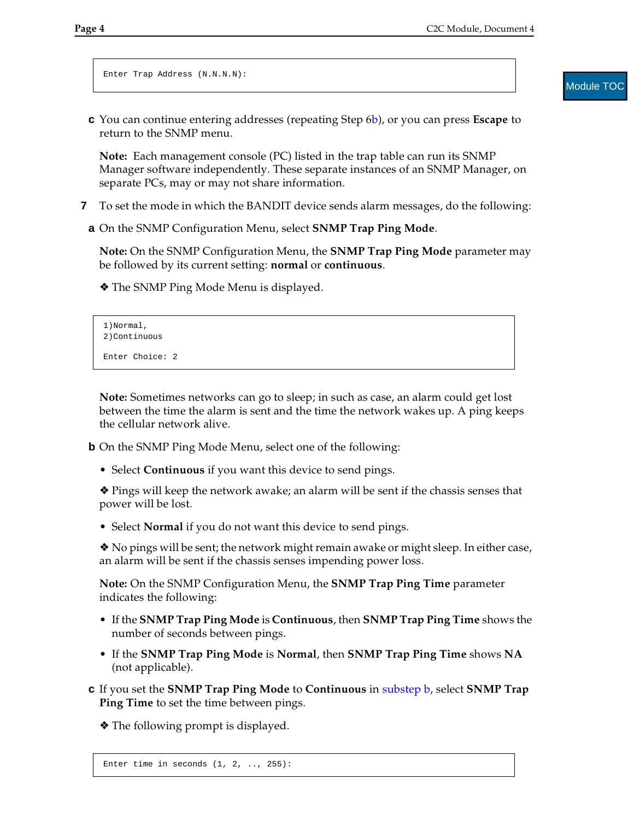```
Enter Trap Address (N.N.N.N):
```
Module **TOC** 

**c** You can continue entering addresses (repeating [Step 6](#page-2-0)[b](#page-2-1)), or you can press **Escape** to return to the SNMP menu.

**Note:** Each management console (PC) listed in the trap table can run its SNMP Manager software independently. These separate instances of an SNMP Manager, on separate PCs, may or may not share information.

- **7** To set the mode in which the BANDIT device sends alarm messages, do the following:
	- **a** On the SNMP Configuration Menu, select **SNMP Trap Ping Mode**.

**Note:** On the SNMP Configuration Menu, the **SNMP Trap Ping Mode** parameter may be followed by its current setting: **normal** or **continuous**.

❖ The SNMP Ping Mode Menu is displayed.

```
1)Normal,
2)Continuous
Enter Choice: 2
```
**Note:** Sometimes networks can go to sleep; in such as case, an alarm could get lost between the time the alarm is sent and the time the network wakes up. A ping keeps the cellular network alive.

<span id="page-3-0"></span>**b** On the SNMP Ping Mode Menu, select one of the following:

• Select **Continuous** if you want this device to send pings.

❖ Pings will keep the network awake; an alarm will be sent if the chassis senses that power will be lost.

• Select **Normal** if you do not want this device to send pings.

❖ No pings will be sent; the network might remain awake or might sleep. In either case, an alarm will be sent if the chassis senses impending power loss.

**Note:** On the SNMP Configuration Menu, the **SNMP Trap Ping Time** parameter indicates the following:

- If the **SNMP Trap Ping Mode** is **Continuous**, then **SNMP Trap Ping Time** shows the number of seconds between pings.
- If the **SNMP Trap Ping Mode** is **Normal**, then **SNMP Trap Ping Time** shows **NA** (not applicable).
- **c** If you set the **SNMP Trap Ping Mode** to **Continuous** in [substep b,](#page-3-0) select **SNMP Trap Ping Time** to set the time between pings.

❖ The following prompt is displayed.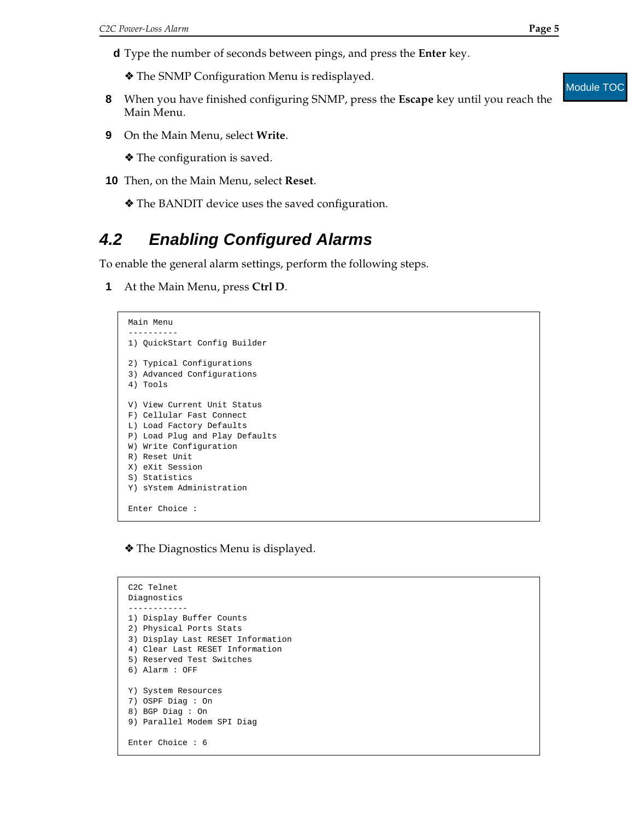- **d** Type the number of seconds between pings, and press the **Enter** key.
	- ❖ The SNMP Configuration Menu is redisplayed.
- **8** When you have finished configuring SNMP, press the **Escape** key until you reach the Main Menu.
- **9** On the Main Menu, select **Write**.

❖ The configuration is saved.

- **10** Then, on the Main Menu, select **Reset**.
	- ❖ The BANDIT device uses the saved configuration.

## <span id="page-4-0"></span>**4.2 Enabling Configured Alarms**

To enable the general alarm settings, perform the following steps.

**1** At the Main Menu, press **Ctrl D**.

```
Main Menu
----------
1) QuickStart Config Builder
2) Typical Configurations
3) Advanced Configurations
4) Tools
V) View Current Unit Status
F) Cellular Fast Connect
L) Load Factory Defaults
P) Load Plug and Play Defaults
W) Write Configuration
R) Reset Unit
X) eXit Session
S) Statistics
Y) sYstem Administration
Enter Choice :
```
❖ The Diagnostics Menu is displayed.

```
C2C Telnet
Diagnostics
------------
1) Display Buffer Counts
2) Physical Ports Stats
3) Display Last RESET Information
4) Clear Last RESET Information
5) Reserved Test Switches
6) Alarm : OFF
Y) System Resources
7) OSPF Diag : On
8) BGP Diag : On
9) Parallel Modem SPI Diag
Enter Choice : 6
```
## Module TOC